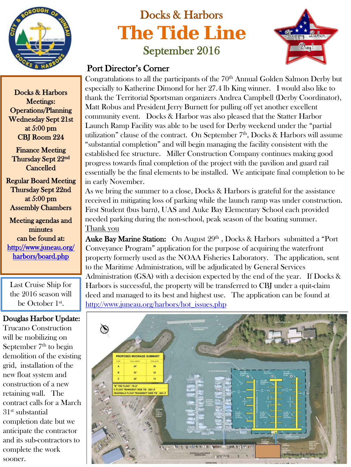

## Docks & Harbors **The Tide Line** September 2016



## Port Director's Corner

Congratulations to all the participants of the 70<sup>th</sup> Annual Golden Salmon Derby but especially to Katherine Dimond for her 27.4 lb King winner. I would also like to thank the Territorial Sportsman organizers Andrea Campbell (Derby Coordinator), Matt Robus and President Jerry Burnett for pulling off yet another excellent community event. Docks & Harbor was also pleased that the Statter Harbor Launch Ramp Facility was able to be used for Derby weekend under the "partial utilization" clause of the contract. On September  $7<sup>th</sup>$ , Docks & Harbors will assume "substantial completion" and will begin managing the facility consistent with the established fee structure. Miller Construction Company continues making good progress towards final completion of the project with the pavilion and guard rail essentially be the final elements to be installed. We anticipate final completion to be in early November.

As we bring the summer to a close, Docks & Harbors is grateful for the assistance received in mitigating loss of parking while the launch ramp was under construction. First Student (bus barn), UAS and Auke Bay Elementary School each provided needed parking during the non-school, peak season of the boating summer. Thank you

Auke Bay Marine Station: On August 29th , Docks & Harbors submitted a "Port Conveyance Program" application for the purpose of acquiring the waterfront property formerly used as the NOAA Fisheries Laboratory. The application, sent to the Maritime Administration, will be adjudicated by General Services Administration (GSA) with a decision expected by the end of the year. If Docks & Harbors is successful, the property will be transferred to CBJ under a quit-claim deed and managed to its best and highest use. The application can be found at [http://www.juneau.org/harbors/hot\\_issues.php](http://www.juneau.org/harbors/hot_issues.php)



Docks & Harbors Meetings: Operations/Planning Wednesday Sept 21st at 5:00 pm CBJ Room 224

Finance Meeting Thursday Sept 22nd Cancelled

Regular Board Meeting Thursday Sept 22nd at 5:00 pm Assembly Chambers

Meeting agendas and minutes can be found at: [http://www.juneau.org/](http://www.juneau.org/harbors/board.php)  [harbors/board.php](http://www.juneau.org/harbors/board.php) 

Last Cruise Ship for the 2016 season will be October 1st.

## Douglas Harbor Update:

Trucano Construction will be mobilizing on September  $7<sup>th</sup>$  to begin demolition of the existing grid, installation of the new float system and construction of a new retaining wall. The contract calls for a March 31st substantial completion date but we anticipate the contractor and its sub-contractors to complete the work sooner.